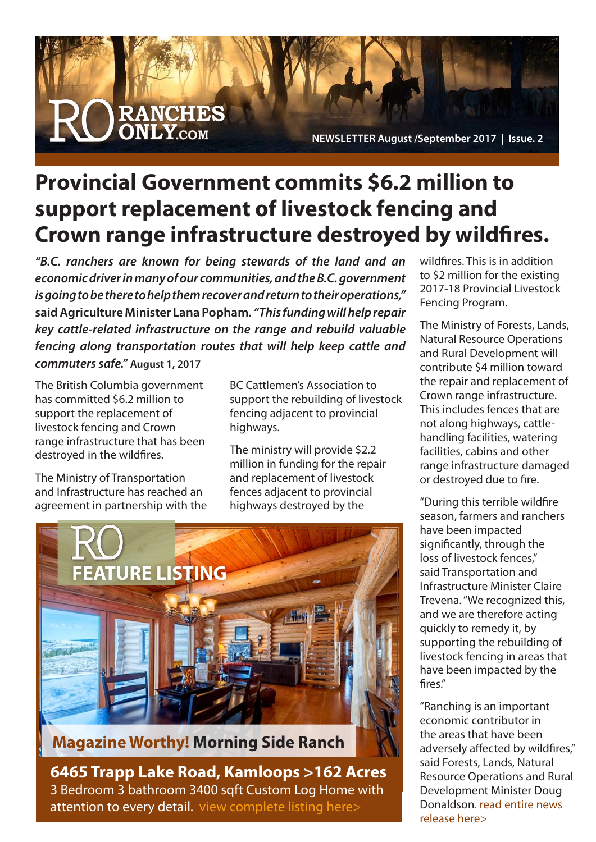

## **Provincial Government commits \$6.2 million to support replacement of livestock fencing and Crown range infrastructure destroyed by wildfires.**

*"B.C. ranchers are known for being stewards of the land and an economic driver in many of our communities, and the B.C. government is going to be there to help them recover and return to their operations,"*  **said Agriculture Minister Lana Popham***. "This funding will help repair key cattle-related infrastructure on the range and rebuild valuable fencing along transportation routes that will help keep cattle and commuters safe."* **August 1, 2017**

The British Columbia government has committed \$6.2 million to support the replacement of livestock fencing and Crown range infrastructure that has been destroyed in the wildfires.

The Ministry of Transportation and Infrastructure has reached an agreement in partnership with the BC Cattlemen's Association to support the rebuilding of livestock fencing adjacent to provincial highways.

The ministry will provide \$2.2 million in funding for the repair and replacement of livestock fences adjacent to provincial highways destroyed by the



**Magazine Worthy! Morning Side Ranch**

**[6465 Trapp Lake Road, Kamloops >162 Acres](http://ranchesonly.com/listing/morning-side-ranch-6465-trapp-lake-road-kamloops-magazine-worthy-a-beautiful-piece-of-paradise-on-162-acres-of-natural-grasslands/)** 3 Bedroom 3 bathroom 3400 sqft Custom Log Home with attention to every detail. view complete listing here>

wildfires. This is in addition to \$2 million for the existing 2017-18 Provincial Livestock Fencing Program.

The Ministry of Forests, Lands, Natural Resource Operations and Rural Development will contribute \$4 million toward the repair and replacement of Crown range infrastructure. This includes fences that are not along highways, cattlehandling facilities, watering facilities, cabins and other range infrastructure damaged or destroyed due to fire.

"During this terrible wildfire season, farmers and ranchers have been impacted significantly, through the loss of livestock fences," said Transportation and Infrastructure Minister Claire Trevena. "We recognized this, and we are therefore acting quickly to remedy it, by supporting the rebuilding of livestock fencing in areas that have been impacted by the fires."

"Ranching is an important economic contributor in the areas that have been adversely affected by wildfires," said Forests, Lands, Natural Resource Operations and Rural Development Minister Doug [Donaldson. read entire news](https://news.gov.bc.ca/releases/2017TRAN0207-001372)  release here>